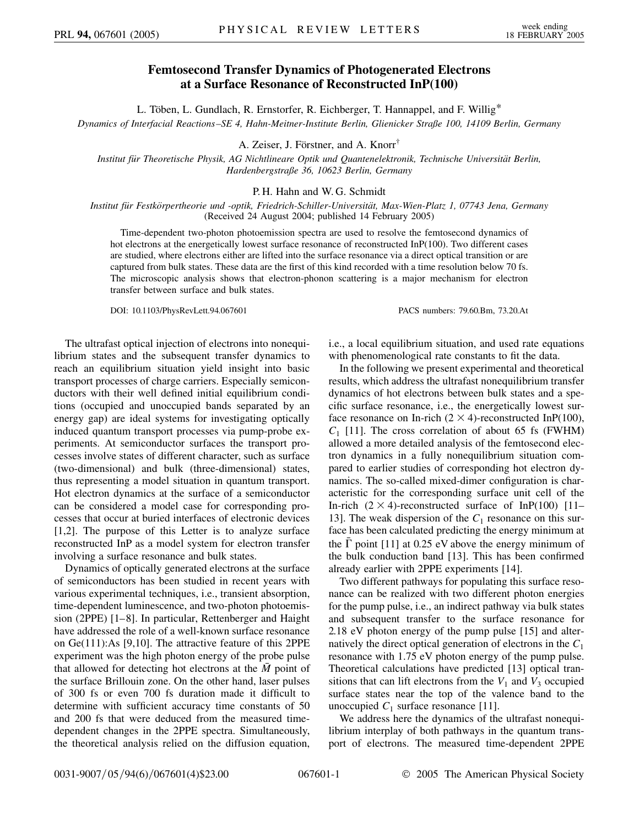## **Femtosecond Transfer Dynamics of Photogenerated Electrons at a Surface Resonance of Reconstructed InP(100)**

L. Töben, L. Gundlach, R. Ernstorfer, R. Eichberger, T. Hannappel, and F. Willig\*

*Dynamics of Interfacial Reactions–SE 4, Hahn-Meitner-Institute Berlin, Glienicker Straße 100, 14109 Berlin, Germany*

A. Zeiser, J. Förstner, and A. Knorr<sup>†</sup>

*Institut fu¨r Theoretische Physik, AG Nichtlineare Optik und Quantenelektronik, Technische Universita¨t Berlin, Hardenbergstraße 36, 10623 Berlin, Germany*

## P. H. Hahn and W. G. Schmidt

*Institut fu¨r Festko¨rpertheorie und -optik, Friedrich-Schiller-Universita¨t, Max-Wien-Platz 1, 07743 Jena, Germany* (Received 24 August 2004; published 14 February 2005)

Time-dependent two-photon photoemission spectra are used to resolve the femtosecond dynamics of hot electrons at the energetically lowest surface resonance of reconstructed InP(100). Two different cases are studied, where electrons either are lifted into the surface resonance via a direct optical transition or are captured from bulk states. These data are the first of this kind recorded with a time resolution below 70 fs. The microscopic analysis shows that electron-phonon scattering is a major mechanism for electron transfer between surface and bulk states.

DOI: 10.1103/PhysRevLett.94.067601 PACS numbers: 79.60.Bm, 73.20.At

The ultrafast optical injection of electrons into nonequilibrium states and the subsequent transfer dynamics to reach an equilibrium situation yield insight into basic transport processes of charge carriers. Especially semiconductors with their well defined initial equilibrium conditions (occupied and unoccupied bands separated by an energy gap) are ideal systems for investigating optically induced quantum transport processes via pump-probe experiments. At semiconductor surfaces the transport processes involve states of different character, such as surface (two-dimensional) and bulk (three-dimensional) states, thus representing a model situation in quantum transport. Hot electron dynamics at the surface of a semiconductor can be considered a model case for corresponding processes that occur at buried interfaces of electronic devices [1,2]. The purpose of this Letter is to analyze surface reconstructed InP as a model system for electron transfer involving a surface resonance and bulk states.

Dynamics of optically generated electrons at the surface of semiconductors has been studied in recent years with various experimental techniques, i.e., transient absorption, time-dependent luminescence, and two-photon photoemission (2PPE) [1–8]. In particular, Rettenberger and Haight have addressed the role of a well-known surface resonance on Ge(111):As [9,10]. The attractive feature of this 2PPE experiment was the high photon energy of the probe pulse that allowed for detecting hot electrons at the *M* point of the surface Brillouin zone. On the other hand, laser pulses of 300 fs or even 700 fs duration made it difficult to determine with sufficient accuracy time constants of 50 and 200 fs that were deduced from the measured timedependent changes in the 2PPE spectra. Simultaneously, the theoretical analysis relied on the diffusion equation, i.e., a local equilibrium situation, and used rate equations with phenomenological rate constants to fit the data.

In the following we present experimental and theoretical results, which address the ultrafast nonequilibrium transfer dynamics of hot electrons between bulk states and a specific surface resonance, i.e., the energetically lowest surface resonance on In-rich  $(2 \times 4)$ -reconstructed InP(100),  $C_1$  [11]. The cross correlation of about 65 fs (FWHM) allowed a more detailed analysis of the femtosecond electron dynamics in a fully nonequilibrium situation compared to earlier studies of corresponding hot electron dynamics. The so-called mixed-dimer configuration is characteristic for the corresponding surface unit cell of the In-rich  $(2 \times 4)$ -reconstructed surface of InP(100) [11– 13]. The weak dispersion of the  $C_1$  resonance on this surface has been calculated predicting the energy minimum at the  $\overline{\Gamma}$  point [11] at 0.25 eV above the energy minimum of the bulk conduction band [13]. This has been confirmed already earlier with 2PPE experiments [14].

Two different pathways for populating this surface resonance can be realized with two different photon energies for the pump pulse, i.e., an indirect pathway via bulk states and subsequent transfer to the surface resonance for 2.18 eV photon energy of the pump pulse [15] and alternatively the direct optical generation of electrons in the *C*<sup>1</sup> resonance with 1.75 eV photon energy of the pump pulse. Theoretical calculations have predicted [13] optical transitions that can lift electrons from the  $V_1$  and  $V_3$  occupied surface states near the top of the valence band to the unoccupied  $C_1$  surface resonance [11].

We address here the dynamics of the ultrafast nonequilibrium interplay of both pathways in the quantum transport of electrons. The measured time-dependent 2PPE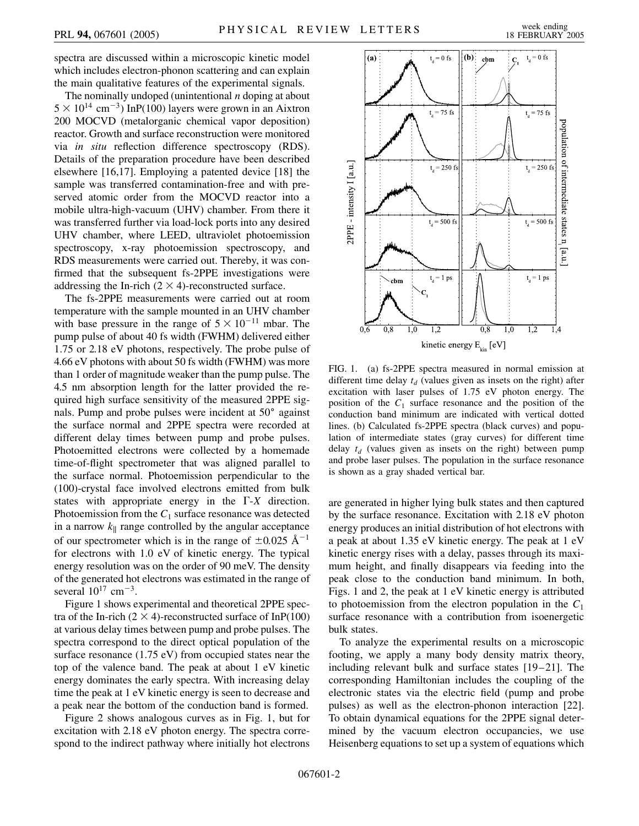spectra are discussed within a microscopic kinetic model which includes electron-phonon scattering and can explain the main qualitative features of the experimental signals.

The nominally undoped (unintentional *n* doping at about  $5 \times 10^{14}$  cm<sup>-3</sup>) InP(100) layers were grown in an Aixtron 200 MOCVD (metalorganic chemical vapor deposition) reactor. Growth and surface reconstruction were monitored via *in situ* reflection difference spectroscopy (RDS). Details of the preparation procedure have been described elsewhere [16,17]. Employing a patented device [18] the sample was transferred contamination-free and with preserved atomic order from the MOCVD reactor into a mobile ultra-high-vacuum (UHV) chamber. From there it was transferred further via load-lock ports into any desired UHV chamber, where LEED, ultraviolet photoemission spectroscopy, x-ray photoemission spectroscopy, and RDS measurements were carried out. Thereby, it was confirmed that the subsequent fs-2PPE investigations were addressing the In-rich  $(2 \times 4)$ -reconstructed surface.

The fs-2PPE measurements were carried out at room temperature with the sample mounted in an UHV chamber with base pressure in the range of  $5 \times 10^{-11}$  mbar. The pump pulse of about 40 fs width (FWHM) delivered either 1.75 or 2.18 eV photons, respectively. The probe pulse of 4.66 eV photons with about 50 fs width (FWHM) was more than 1 order of magnitude weaker than the pump pulse. The 4.5 nm absorption length for the latter provided the required high surface sensitivity of the measured 2PPE signals. Pump and probe pulses were incident at 50 $^{\circ}$  against the surface normal and 2PPE spectra were recorded at different delay times between pump and probe pulses. Photoemitted electrons were collected by a homemade time-of-flight spectrometer that was aligned parallel to the surface normal. Photoemission perpendicular to the (100)-crystal face involved electrons emitted from bulk states with appropriate energy in the  $\Gamma$ -*X* direction. Photoemission from the  $C_1$  surface resonance was detected in a narrow  $k_{\parallel}$  range controlled by the angular acceptance of our spectrometer which is in the range of  $\pm 0.025$   $\rm \AA^{-1}$ for electrons with 1.0 eV of kinetic energy. The typical energy resolution was on the order of 90 meV. The density of the generated hot electrons was estimated in the range of several  $10^{17}$  cm<sup>-3</sup>.

Figure 1 shows experimental and theoretical 2PPE spectra of the In-rich  $(2 \times 4)$ -reconstructed surface of InP(100) at various delay times between pump and probe pulses. The spectra correspond to the direct optical population of the surface resonance (1.75 eV) from occupied states near the top of the valence band. The peak at about 1 eV kinetic energy dominates the early spectra. With increasing delay time the peak at 1 eV kinetic energy is seen to decrease and a peak near the bottom of the conduction band is formed.

Figure 2 shows analogous curves as in Fig. 1, but for excitation with 2.18 eV photon energy. The spectra correspond to the indirect pathway where initially hot electrons



FIG. 1. (a) fs-2PPE spectra measured in normal emission at different time delay  $t_d$  (values given as insets on the right) after excitation with laser pulses of 1.75 eV photon energy. The position of the  $C_1$  surface resonance and the position of the conduction band minimum are indicated with vertical dotted lines. (b) Calculated fs-2PPE spectra (black curves) and population of intermediate states (gray curves) for different time delay  $t_d$  (values given as insets on the right) between pump and probe laser pulses. The population in the surface resonance is shown as a gray shaded vertical bar.

are generated in higher lying bulk states and then captured by the surface resonance. Excitation with 2.18 eV photon energy produces an initial distribution of hot electrons with a peak at about 1.35 eV kinetic energy. The peak at 1 eV kinetic energy rises with a delay, passes through its maximum height, and finally disappears via feeding into the peak close to the conduction band minimum. In both, Figs. 1 and 2, the peak at 1 eV kinetic energy is attributed to photoemission from the electron population in the *C*<sup>1</sup> surface resonance with a contribution from isoenergetic bulk states.

To analyze the experimental results on a microscopic footing, we apply a many body density matrix theory, including relevant bulk and surface states [19–21]. The corresponding Hamiltonian includes the coupling of the electronic states via the electric field (pump and probe pulses) as well as the electron-phonon interaction [22]. To obtain dynamical equations for the 2PPE signal determined by the vacuum electron occupancies, we use Heisenberg equations to set up a system of equations which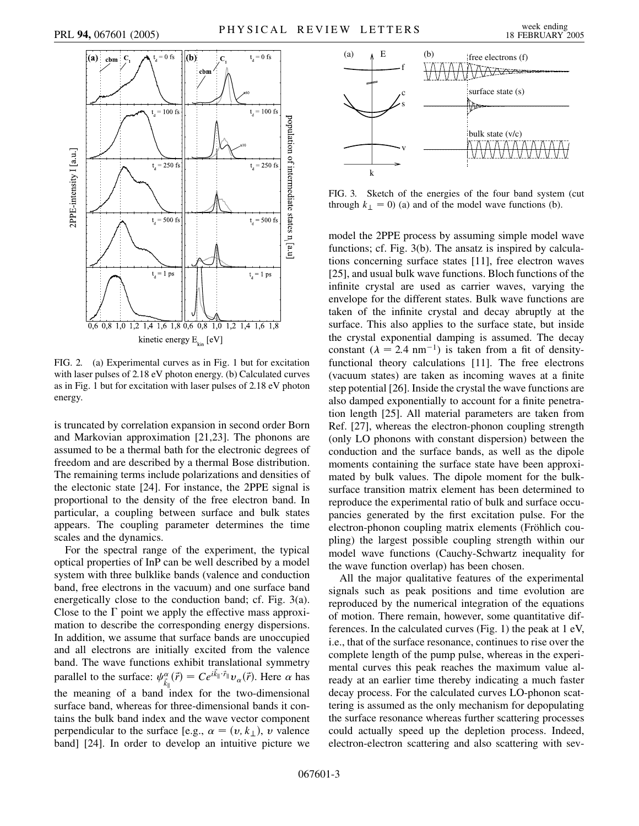

FIG. 2. (a) Experimental curves as in Fig. 1 but for excitation with laser pulses of 2.18 eV photon energy. (b) Calculated curves as in Fig. 1 but for excitation with laser pulses of 2.18 eV photon energy.

is truncated by correlation expansion in second order Born and Markovian approximation [21,23]. The phonons are assumed to be a thermal bath for the electronic degrees of freedom and are described by a thermal Bose distribution. The remaining terms include polarizations and densities of the electonic state [24]. For instance, the 2PPE signal is proportional to the density of the free electron band. In particular, a coupling between surface and bulk states appears. The coupling parameter determines the time scales and the dynamics.

For the spectral range of the experiment, the typical optical properties of InP can be well described by a model system with three bulklike bands (valence and conduction band, free electrons in the vacuum) and one surface band energetically close to the conduction band; cf. Fig. 3(a). Close to the  $\Gamma$  point we apply the effective mass approximation to describe the corresponding energy dispersions. In addition, we assume that surface bands are unoccupied and all electrons are initially excited from the valence band. The wave functions exhibit translational symmetry parallel to the surface:  $\psi_{\vec{k}_{\parallel}}^{\alpha}(\vec{r}) = Ce^{i\vec{k}_{\parallel}\cdot\vec{r}_{\parallel}}v_{\alpha}(\vec{r})$ . Here  $\alpha$  has the meaning of a band index for the two-dimensional surface band, whereas for three-dimensional bands it contains the bulk band index and the wave vector component perpendicular to the surface [e.g.,  $\alpha = (v, k_{\perp})$ , *v* valence band] [24]. In order to develop an intuitive picture we



FIG. 3. Sketch of the energies of the four band system (cut through  $k_{\perp} = 0$ ) (a) and of the model wave functions (b).

model the 2PPE process by assuming simple model wave functions; cf. Fig. 3(b). The ansatz is inspired by calculations concerning surface states [11], free electron waves [25], and usual bulk wave functions. Bloch functions of the infinite crystal are used as carrier waves, varying the envelope for the different states. Bulk wave functions are taken of the infinite crystal and decay abruptly at the surface. This also applies to the surface state, but inside the crystal exponential damping is assumed. The decay constant  $(\lambda = 2.4 \text{ nm}^{-1})$  is taken from a fit of densityfunctional theory calculations [11]. The free electrons (vacuum states) are taken as incoming waves at a finite step potential [26]. Inside the crystal the wave functions are also damped exponentially to account for a finite penetration length [25]. All material parameters are taken from Ref. [27], whereas the electron-phonon coupling strength (only LO phonons with constant dispersion) between the conduction and the surface bands, as well as the dipole moments containing the surface state have been approximated by bulk values. The dipole moment for the bulksurface transition matrix element has been determined to reproduce the experimental ratio of bulk and surface occupancies generated by the first excitation pulse. For the electron-phonon coupling matrix elements (Fröhlich coupling) the largest possible coupling strength within our model wave functions (Cauchy-Schwartz inequality for the wave function overlap) has been chosen.

All the major qualitative features of the experimental signals such as peak positions and time evolution are reproduced by the numerical integration of the equations of motion. There remain, however, some quantitative differences. In the calculated curves (Fig. 1) the peak at 1 eV, i.e., that of the surface resonance, continues to rise over the complete length of the pump pulse, whereas in the experimental curves this peak reaches the maximum value already at an earlier time thereby indicating a much faster decay process. For the calculated curves LO-phonon scattering is assumed as the only mechanism for depopulating the surface resonance whereas further scattering processes could actually speed up the depletion process. Indeed, electron-electron scattering and also scattering with sev